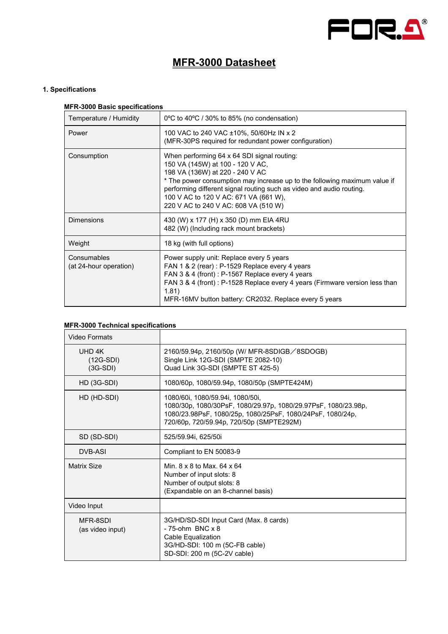

# **MFR-3000 Datasheet**

# **1. Specifications**

# **MFR-3000 Basic specifications**

| Temperature / Humidity                | 0°C to 40°C / 30% to 85% (no condensation)                                                                                                                                                                                                                                                                                                               |
|---------------------------------------|----------------------------------------------------------------------------------------------------------------------------------------------------------------------------------------------------------------------------------------------------------------------------------------------------------------------------------------------------------|
| Power                                 | 100 VAC to 240 VAC ±10%, 50/60Hz IN x 2<br>(MFR-30PS required for redundant power configuration)                                                                                                                                                                                                                                                         |
| Consumption                           | When performing 64 x 64 SDI signal routing:<br>150 VA (145W) at 100 - 120 V AC,<br>198 VA (136W) at 220 - 240 V AC<br>* The power consumption may increase up to the following maximum value if<br>performing different signal routing such as video and audio routing.<br>100 V AC to 120 V AC: 671 VA (661 W),<br>220 V AC to 240 V AC: 608 VA (510 W) |
| <b>Dimensions</b>                     | 430 (W) x 177 (H) x 350 (D) mm EIA 4RU<br>482 (W) (Including rack mount brackets)                                                                                                                                                                                                                                                                        |
| Weight                                | 18 kg (with full options)                                                                                                                                                                                                                                                                                                                                |
| Consumables<br>(at 24-hour operation) | Power supply unit: Replace every 5 years<br>FAN 1 & 2 (rear) : P-1529 Replace every 4 years<br>FAN 3 & 4 (front) : P-1567 Replace every 4 years<br>FAN 3 & 4 (front) : P-1528 Replace every 4 years (Firmware version less than<br>1.81)<br>MFR-16MV button battery: CR2032. Replace every 5 years                                                       |

## **MFR-3000 Technical specifications**

| Video Formats                       |                                                                                                                                                                                                              |
|-------------------------------------|--------------------------------------------------------------------------------------------------------------------------------------------------------------------------------------------------------------|
| UHD 4K<br>$(12G-SDI)$<br>$(3G-SDI)$ | 2160/59.94p, 2160/50p (W/ MFR-8SDIGB/8SDOGB)<br>Single Link 12G-SDI (SMPTE 2082-10)<br>Quad Link 3G-SDI (SMPTE ST 425-5)                                                                                     |
| $HD$ (3G-SDI)                       | 1080/60p, 1080/59.94p, 1080/50p (SMPTE424M)                                                                                                                                                                  |
| HD (HD-SDI)                         | 1080/60i, 1080/59.94i, 1080/50i,<br>1080/30p, 1080/30PsF, 1080/29.97p, 1080/29.97PsF, 1080/23.98p,<br>1080/23.98PsF, 1080/25p, 1080/25PsF, 1080/24PsF, 1080/24p,<br>720/60p, 720/59.94p, 720/50p (SMPTE292M) |
| SD (SD-SDI)                         | 525/59.94i, 625/50i                                                                                                                                                                                          |
| <b>DVB-ASI</b>                      | Compliant to EN 50083-9                                                                                                                                                                                      |
| Matrix Size                         | Min. $8 \times 8$ to Max, $64 \times 64$<br>Number of input slots: 8<br>Number of output slots: 8<br>(Expandable on an 8-channel basis)                                                                      |
| Video Input                         |                                                                                                                                                                                                              |
| MFR-8SDI<br>(as video input)        | 3G/HD/SD-SDI Input Card (Max. 8 cards)<br>$-75$ -ohm $BNC \times 8$<br>Cable Equalization<br>3G/HD-SDI: 100 m (5C-FB cable)<br>SD-SDI: 200 m (5C-2V cable)                                                   |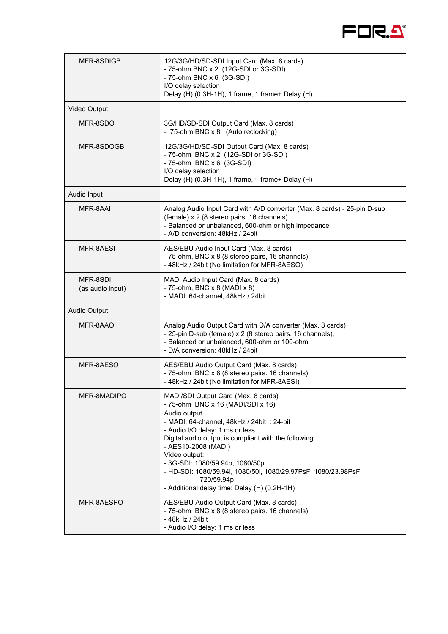

| MFR-8SDIGB                   | 12G/3G/HD/SD-SDI Input Card (Max. 8 cards)<br>- 75-ohm BNC x 2 (12G-SDI or 3G-SDI)<br>- 75-ohm BNC x 6 (3G-SDI)<br>I/O delay selection<br>Delay (H) (0.3H-1H), 1 frame, 1 frame+ Delay (H)                                                                                                                                                                                                                                                    |
|------------------------------|-----------------------------------------------------------------------------------------------------------------------------------------------------------------------------------------------------------------------------------------------------------------------------------------------------------------------------------------------------------------------------------------------------------------------------------------------|
| Video Output                 |                                                                                                                                                                                                                                                                                                                                                                                                                                               |
| MFR-8SDO                     | 3G/HD/SD-SDI Output Card (Max. 8 cards)<br>- 75-ohm BNC x 8 (Auto reclocking)                                                                                                                                                                                                                                                                                                                                                                 |
| MFR-8SDOGB                   | 12G/3G/HD/SD-SDI Output Card (Max. 8 cards)<br>- 75-ohm BNC x 2 (12G-SDI or 3G-SDI)<br>- 75-ohm BNC x 6 (3G-SDI)<br>I/O delay selection<br>Delay (H) (0.3H-1H), 1 frame, 1 frame+ Delay (H)                                                                                                                                                                                                                                                   |
| Audio Input                  |                                                                                                                                                                                                                                                                                                                                                                                                                                               |
| MFR-8AAI                     | Analog Audio Input Card with A/D converter (Max. 8 cards) - 25-pin D-sub<br>(female) x 2 (8 stereo pairs, 16 channels)<br>- Balanced or unbalanced, 600-ohm or high impedance<br>- A/D conversion: 48kHz / 24bit                                                                                                                                                                                                                              |
| MFR-8AESI                    | AES/EBU Audio Input Card (Max. 8 cards)<br>- 75-ohm, BNC x 8 (8 stereo pairs, 16 channels)<br>- 48kHz / 24bit (No limitation for MFR-8AESO)                                                                                                                                                                                                                                                                                                   |
| MFR-8SDI<br>(as audio input) | MADI Audio Input Card (Max. 8 cards)<br>- 75-ohm, BNC x 8 (MADI x 8)<br>- MADI: 64-channel, 48kHz / 24bit                                                                                                                                                                                                                                                                                                                                     |
| Audio Output                 |                                                                                                                                                                                                                                                                                                                                                                                                                                               |
| MFR-8AAO                     | Analog Audio Output Card with D/A converter (Max. 8 cards)<br>- 25-pin D-sub (female) x 2 (8 stereo pairs. 16 channels),<br>- Balanced or unbalanced, 600-ohm or 100-ohm<br>- D/A conversion: 48kHz / 24bit                                                                                                                                                                                                                                   |
| MFR-8AESO                    | AES/EBU Audio Output Card (Max. 8 cards)<br>- 75-ohm BNC x 8 (8 stereo pairs. 16 channels)<br>- 48kHz / 24bit (No limitation for MFR-8AESI)                                                                                                                                                                                                                                                                                                   |
| MFR-8MADIPO                  | MADI/SDI Output Card (Max. 8 cards)<br>- 75-ohm BNC x 16 (MADI/SDI x 16)<br>Audio output<br>- MADI: 64-channel, 48kHz / 24bit : 24-bit<br>- Audio I/O delay: 1 ms or less<br>Digital audio output is compliant with the following:<br>- AES10-2008 (MADI)<br>Video output:<br>- 3G-SDI: 1080/59.94p, 1080/50p<br>- HD-SDI: 1080/59.94i, 1080/50i, 1080/29.97PsF, 1080/23.98PsF,<br>720/59.94p<br>- Additional delay time: Delay (H) (0.2H-1H) |
| MFR-8AESPO                   | AES/EBU Audio Output Card (Max. 8 cards)<br>- 75-ohm BNC x 8 (8 stereo pairs. 16 channels)<br>- 48kHz / 24bit<br>- Audio I/O delay: 1 ms or less                                                                                                                                                                                                                                                                                              |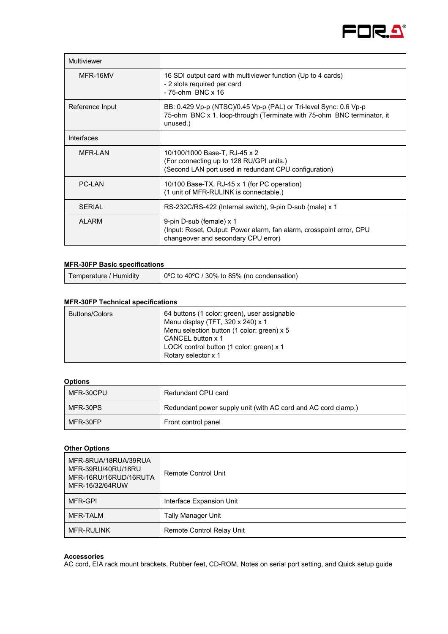

| Multiviewer     |                                                                                                                                                         |
|-----------------|---------------------------------------------------------------------------------------------------------------------------------------------------------|
| MFR-16MV        | 16 SDI output card with multiviewer function (Up to 4 cards)<br>- 2 slots required per card<br>$-75$ -ohm BNC $\times$ 16                               |
| Reference Input | BB: 0.429 Vp-p (NTSC)/0.45 Vp-p (PAL) or Tri-level Sync: 0.6 Vp-p<br>75-ohm BNC x 1, loop-through (Terminate with 75-ohm BNC terminator, it<br>unused.) |
| Interfaces      |                                                                                                                                                         |
| MFR-LAN         | 10/100/1000 Base-T, RJ-45 x 2<br>(For connecting up to 128 RU/GPI units.)<br>(Second LAN port used in redundant CPU configuration)                      |
| <b>PC-I AN</b>  | 10/100 Base-TX, RJ-45 x 1 (for PC operation)<br>(1 unit of MFR-RULINK is connectable.)                                                                  |
| <b>SERIAL</b>   | RS-232C/RS-422 (Internal switch), 9-pin D-sub (male) x 1                                                                                                |
| <b>ALARM</b>    | 9-pin D-sub (female) x 1<br>(Input: Reset, Output: Power alarm, fan alarm, crosspoint error, CPU<br>changeover and secondary CPU error)                 |

#### **MFR-30FP Basic specifications**

| Temperature / Humidity |  | 0 $\degree$ C to 40 $\degree$ C / 30% to 85% (no condensation) |
|------------------------|--|----------------------------------------------------------------|
|------------------------|--|----------------------------------------------------------------|

## **MFR-30FP Technical specifications**

| <b>Buttons/Colors</b><br>Menu display (TFT, 320 x 240) x 1<br>Menu selection button (1 color: green) x 5<br>CANCEL button x 1<br>LOCK control button (1 color: green) x 1<br>Rotary selector x 1 |  | 64 buttons (1 color: green), user assignable |
|--------------------------------------------------------------------------------------------------------------------------------------------------------------------------------------------------|--|----------------------------------------------|
|--------------------------------------------------------------------------------------------------------------------------------------------------------------------------------------------------|--|----------------------------------------------|

#### **Options**

| MFR-30CPU | Redundant CPU card                                            |
|-----------|---------------------------------------------------------------|
| MFR-30PS  | Redundant power supply unit (with AC cord and AC cord clamp.) |
| MFR-30FP  | Front control panel                                           |

# **Other Options**

| MFR-8RUA/18RUA/39RUA<br>MFR-39RU/40RU/18RU<br>MFR-16RU/16RUD/16RUTA<br>MFR-16/32/64RUW | Remote Control Unit              |
|----------------------------------------------------------------------------------------|----------------------------------|
| MFR-GPI                                                                                | Interface Expansion Unit         |
| MFR-TALM                                                                               | <b>Tally Manager Unit</b>        |
| <b>MFR-RULINK</b>                                                                      | <b>Remote Control Relay Unit</b> |

#### **Accessories**

AC cord, EIA rack mount brackets, Rubber feet, CD-ROM, Notes on serial port setting, and Quick setup guide